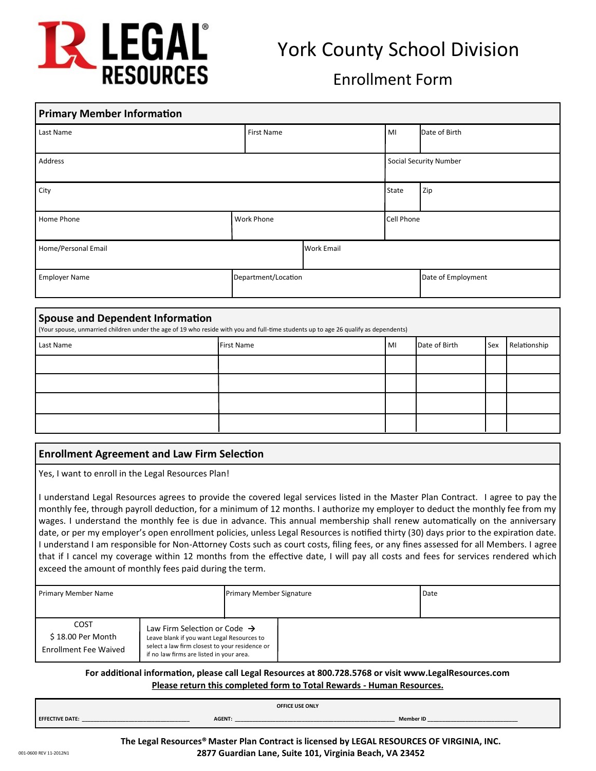

# York County School Division

# Enrollment Form

| <b>Primary Member Information</b> |                     |            |                        |                    |  |
|-----------------------------------|---------------------|------------|------------------------|--------------------|--|
| Last Name                         | First Name          |            | MI                     | Date of Birth      |  |
| Address                           |                     |            | Social Security Number |                    |  |
| City                              |                     |            | <b>State</b>           | Zip                |  |
| Home Phone                        | Work Phone          |            | Cell Phone             |                    |  |
| Home/Personal Email               |                     | Work Email |                        |                    |  |
| <b>Employer Name</b>              | Department/Location |            |                        | Date of Employment |  |

#### **Spouse and Dependent Information**

(Your spouse, unmarried children under the age of 19 who reside with you and full-time students up to age 26 qualify as dependents)

| Last Name | First Name | MI | Date of Birth | <b>Sex</b> | Relationship |
|-----------|------------|----|---------------|------------|--------------|
|           |            |    |               |            |              |
|           |            |    |               |            |              |
|           |            |    |               |            |              |
|           |            |    |               |            |              |

# **Enrollment Agreement and Law Firm Selection**

Yes, I want to enroll in the Legal Resources Plan!

I understand Legal Resources agrees to provide the covered legal services listed in the Master Plan Contract. I agree to pay the monthly fee, through payroll deduction, for a minimum of 12 months. I authorize my employer to deduct the monthly fee from my wages. I understand the monthly fee is due in advance. This annual membership shall renew automatically on the anniversary date, or per my employer's open enrollment policies, unless Legal Resources is notified thirty (30) days prior to the expiration date. I understand I am responsible for Non-Attorney Costs such as court costs, filing fees, or any fines assessed for all Members. I agree that if I cancel my coverage within 12 months from the effective date, I will pay all costs and fees for services rendered which exceed the amount of monthly fees paid during the term.

| Primary Member Name                                              |                                                                                                                                                                                      | <b>Primary Member Signature</b> |  | Date |  |  |
|------------------------------------------------------------------|--------------------------------------------------------------------------------------------------------------------------------------------------------------------------------------|---------------------------------|--|------|--|--|
| <b>COST</b><br>\$18.00 Per Month<br><b>Enrollment Fee Waived</b> | Law Firm Selection or Code $\rightarrow$<br>Leave blank if you want Legal Resources to<br>select a law firm closest to your residence or<br>if no law firms are listed in your area. |                                 |  |      |  |  |

#### **For additional information, please call Legal Resources at 800.728.5768 or visit www.LegalResources.com Please return this completed form to Total Rewards - Human Resources.**

|                 |               | OFFICE USE ONLY |        |
|-----------------|---------------|-----------------|--------|
| EFFECTIVE DATE: | <b>AGENT:</b> |                 | Member |
|                 |               |                 |        |

**The Legal Resources® Master Plan Contract is licensed by LEGAL RESOURCES OF VIRGINIA, INC. 2877 Guardian Lane, Suite 101, Virginia Beach, VA 23452**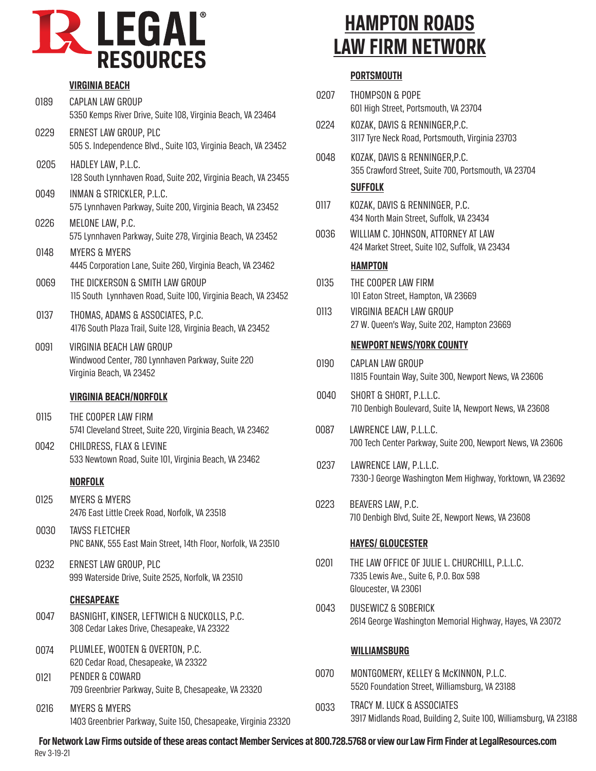

|      | <b>VIRGINIA BEACH</b>                                                                                     |      |
|------|-----------------------------------------------------------------------------------------------------------|------|
| 0189 | <b>CAPLAN LAW GROUP</b><br>5350 Kemps River Drive, Suite 108, Virginia Beach, VA 23464                    | 0207 |
| 0229 | ERNEST LAW GROUP, PLC<br>505 S. Independence Blvd., Suite 103, Virginia Beach, VA 23452                   | 0224 |
| 0205 | HADLEY LAW, P.L.C.<br>128 South Lynnhaven Road, Suite 202, Virginia Beach, VA 23455                       | 0048 |
| 0049 | INMAN & STRICKLER, P.L.C.<br>575 Lynnhaven Parkway, Suite 200, Virginia Beach, VA 23452                   | 0117 |
| 0226 | MELONE LAW, P.C.<br>575 Lynnhaven Parkway, Suite 278, Virginia Beach, VA 23452                            | 0036 |
| 0148 | <b>MYERS &amp; MYERS</b><br>4445 Corporation Lane, Suite 260, Virginia Beach, VA 23462                    |      |
| 0069 | THE DICKERSON & SMITH LAW GROUP<br>115 South Lynnhaven Road, Suite 100, Virginia Beach, VA 23452          | 0135 |
| 0137 | THOMAS, ADAMS & ASSOCIATES, P.C.<br>4176 South Plaza Trail, Suite 128, Virginia Beach, VA 23452           | 0113 |
| 0091 | VIRGINIA BEACH LAW GROUP<br>Windwood Center, 780 Lynnhaven Parkway, Suite 220<br>Virginia Beach, VA 23452 | 0190 |
|      | <b>VIRGINIA BEACH/NORFOLK</b>                                                                             | 0040 |
| 0115 | THE COOPER LAW FIRM<br>5741 Cleveland Street, Suite 220, Virginia Beach, VA 23462                         | 0087 |
| 0042 | CHILDRESS, FLAX & LEVINE<br>533 Newtown Road, Suite 101, Virginia Beach, VA 23462                         | 0237 |
|      | <b>NORFOLK</b>                                                                                            |      |
| 0125 | <b>MYERS &amp; MYERS</b><br>2476 East Little Creek Road, Norfolk, VA 23518                                | 0223 |
|      |                                                                                                           |      |

- 0030 TAVSS FLETCHER PNC BANK, 555 East Main Street, 14th Floor, Norfolk, VA 23510
- 0232 ERNEST LAW GROUP, PLC 999 Waterside Drive, Suite 2525, Norfolk, VA 23510

# **CHESAPEAKE**

- 0047 BASNIGHT, KINSER, LEFTWICH & NUCKOLLS, P.C. 308 Cedar Lakes Drive, Chesapeake, VA 23322
- 0074 PLUMLEE, WOOTEN & OVERTON, P.C. 620 Cedar Road, Chesapeake, VA 23322
- 0121 PENDER & COWARD 709 Greenbrier Parkway, Suite B, Chesapeake, VA 23320
- 0216 MYERS & MYERS 1403 Greenbrier Parkway, Suite 150, Chesapeake, Virginia 23320

# **HAMPTON ROADS LAW FIRM NETWORK**

# **PORTSMOUTH**

- 0207 THOMPSON & POPE 601 High Street, Portsmouth, VA 23704
- 0224 KOZAK, DAVIS & RENNINGER,P.C. 3117 Tyre Neck Road, Portsmouth, Virginia 23703
- 0048 KOZAK, DAVIS & RENNINGER,P.C. 355 Crawford Street, Suite 700, Portsmouth, VA 23704

# **SUFFOLK**

- 0117 KOZAK, DAVIS & RENNINGER, P.C. 434 North Main Street, Suffolk, VA 23434
- 0036 WILLIAM C. JOHNSON, ATTORNEY AT LAW 424 Market Street, Suite 102, Suffolk, VA 23434

# **HAMPTON**

- THE COOPER LAW FIRM 101 Eaton Street, Hampton, VA 23669
- 0113 VIRGINIA BEACH LAW GROUP 27 W. Queen's Way, Suite 202, Hampton 23669

#### **NEWPORT NEWS/YORK COUNTY**

- 0190 CAPLAN LAW GROUP 11815 Fountain Way, Suite 300, Newport News, VA 23606
- 0040 SHORT & SHORT, P.L.L.C. 710 Denbigh Boulevard, Suite 1A, Newport News, VA 23608
- 0087 LAWRENCE LAW, P.L.L.C. 700 Tech Center Parkway, Suite 200, Newport News, VA 23606
- 0237 LAWRENCE LAW, P.L.L.C. 7330-J George Washington Mem Highway, Yorktown, VA 23692
- 0223 BEAVERS LAW, P.C. 710 Denbigh Blvd, Suite 2E, Newport News, VA 23608

# **HAYES/ GLOUCESTER**

- 0201 THE LAW OFFICE OF JULIE L. CHURCHILL, P.L.L.C. 7335 Lewis Ave., Suite 6, P.O. Box 598 Gloucester, VA 23061
- 0043 DUSEWICZ & SOBERICK 2614 George Washington Memorial Highway, Hayes, VA 23072

# **WILLIAMSBURG**

- 0070 MONTGOMERY, KELLEY & McKINNON, P.L.C. 5520 Foundation Street, Williamsburg, VA 23188
- 0033 TRACY M. LUCK & ASSOCIATES 3917 Midlands Road, Building 2, Suite 100, Williamsburg, VA 23188

**For Network Law Firms outside of these areas contact Member Services at 800.728.5768 or view our Law Firm Finder at LegalResources.com** Rev 3-19-21